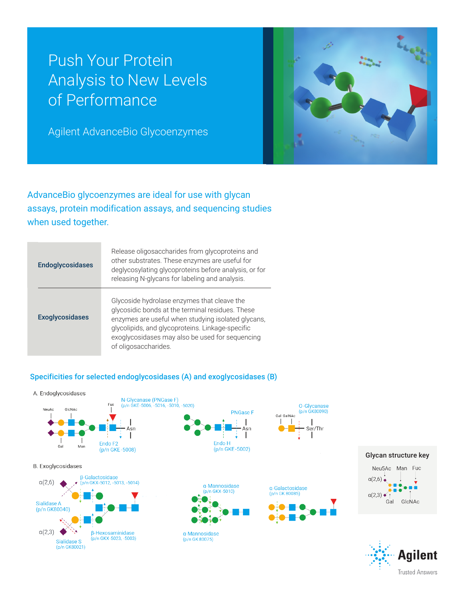# Push Your Protein Analysis to New Levels of Performance

Agilent AdvanceBio Glycoenzymes



**Trusted Answers** 

AdvanceBio glycoenzymes are ideal for use with glycan assays, protein modification assays, and sequencing studies when used together.

| <b>Endoglycosidases</b> | Release oligosaccharides from glycoproteins and<br>other substrates. These enzymes are useful for<br>deglycosylating glycoproteins before analysis, or for<br>releasing N-glycans for labeling and analysis.                                                                         |
|-------------------------|--------------------------------------------------------------------------------------------------------------------------------------------------------------------------------------------------------------------------------------------------------------------------------------|
| <b>Exoglycosidases</b>  | Glycoside hydrolase enzymes that cleave the<br>glycosidic bonds at the terminal residues. These<br>enzymes are useful when studying isolated glycans,<br>glycolipids, and glycoproteins. Linkage-specific<br>exoglycosidases may also be used for sequencing<br>of oligosaccharides. |

### Specificities for selected endoglycosidases (A) and exoglycosidases (B)

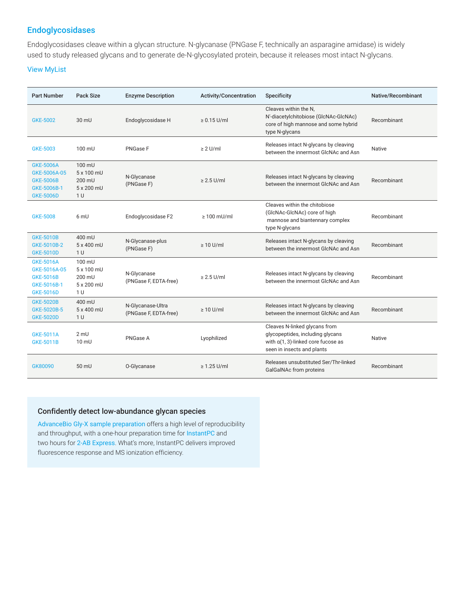# Endoglycosidases

Endoglycosidases cleave within a glycan structure. N-glycanase (PNGase F, technically an asparagine amidase) is widely used to study released glycans and to generate de-N-glycosylated protein, because it releases most intact N-glycans.

#### [View MyList](https://chem.agilent.com/common/registrationInterim.jsp?rtulid=Z2w3NDMzMTc3MjQ=)

| <b>Part Number</b>                                                                      | <b>Pack Size</b>                                               | <b>Enzyme Description</b>                  | <b>Activity/Concentration</b> | Specificity                                                                                                                              | Native/Recombinant |
|-----------------------------------------------------------------------------------------|----------------------------------------------------------------|--------------------------------------------|-------------------------------|------------------------------------------------------------------------------------------------------------------------------------------|--------------------|
| GKE-5002                                                                                | $30 \text{ mU}$                                                | Endoglycosidase H                          | $\geq 0.15$ U/ml              | Cleaves within the N.<br>N'-diacetylchitobiose (GlcNAc-GlcNAc)<br>core of high mannose and some hybrid<br>type N-glycans                 | Recombinant        |
| <b>GKE-5003</b>                                                                         | 100 mU                                                         | PNGase F                                   | $\geq 2$ U/ml                 | Releases intact N-glycans by cleaving<br>between the innermost GlcNAc and Asn                                                            | <b>Native</b>      |
| <b>GKE-5006A</b><br>GKE-5006A-05<br><b>GKE-5006B</b><br>GKE-5006B-1<br><b>GKE-5006D</b> | 100 mU<br>5 x 100 mU<br>200 mU<br>5 x 200 mU<br>1 <sub>U</sub> | N-Glycanase<br>(PNGase F)                  | $\geq$ 2.5 U/ml               | Releases intact N-glycans by cleaving<br>between the innermost GlcNAc and Asn                                                            | Recombinant        |
| <b>GKE-5008</b>                                                                         | 6 mU                                                           | Endoglycosidase F2                         | $\geq 100$ mU/ml              | Cleaves within the chitobiose<br>(GlcNAc-GlcNAc) core of high<br>mannose and biantennary complex<br>type N-glycans                       | Recombinant        |
| <b>GKE-5010B</b><br>GKE-5010B-2<br><b>GKE-5010D</b>                                     | 400 mU<br>5 x 400 mU<br>1 <sub>U</sub>                         | N-Glycanase-plus<br>(PNGase F)             | $\geq 10$ U/ml                | Releases intact N-glycans by cleaving<br>between the innermost GlcNAc and Asn                                                            | Recombinant        |
| <b>GKE-5016A</b><br>GKE-5016A-05<br><b>GKE-5016B</b><br>GKE-5016B-1<br><b>GKE-5016D</b> | 100 mU<br>5 x 100 mU<br>200 mU<br>5 x 200 mU<br>1 <sub>U</sub> | N-Glycanase<br>(PNGase F, EDTA-free)       | $\geq$ 2.5 U/ml               | Releases intact N-glycans by cleaving<br>between the innermost GlcNAc and Asn                                                            | Recombinant        |
| <b>GKE-5020B</b><br>GKE-5020B-5<br><b>GKE-5020D</b>                                     | 400 mU<br>5 x 400 mU<br>1 <sub>U</sub>                         | N-Glycanase-Ultra<br>(PNGase F, EDTA-free) | $\geq 10$ U/ml                | Releases intact N-glycans by cleaving<br>between the innermost GlcNAc and Asn                                                            | Recombinant        |
| <b>GKE-5011A</b><br><b>GKE-5011B</b>                                                    | $2$ mU<br>$10 \text{ mU}$                                      | PNGase A                                   | Lyophilized                   | Cleaves N-linked glycans from<br>glycopeptides, including glycans<br>with $a(1, 3)$ -linked core fucose as<br>seen in insects and plants | <b>Native</b>      |
| GK80090                                                                                 | $50 \text{ mU}$                                                | O-Glycanase                                | $\geq 1.25$ U/ml              | Releases unsubstituted Ser/Thr-linked<br>GalGalNAc from proteins                                                                         | Recombinant        |

#### Confidently detect low-abundance glycan species

AdvanceBio [Gly-X sample preparation](https://www.agilent.com/en/product/biopharma-hplc-analysis/glycan-analysis/glycan-preparation/advancebio-gly-x-technology) offers a high level of reproducibility and throughput, with a one-hour preparation time for [InstantPC](https://www.agilent.com/store/en_US/Prod-GX96-IPC/GX96-IPC) and two hours for [2-AB Express](https://www.agilent.com/store/en_US/Prod-GX96-2AB/GX96-2AB). What's more, InstantPC delivers improved fluorescence response and MS ionization efficiency.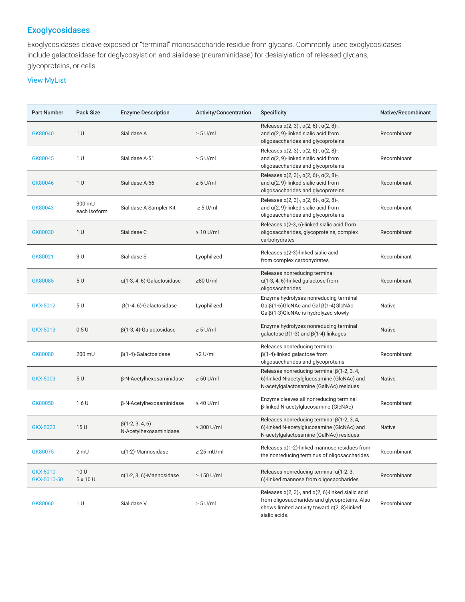## Exoglycosidases

Exoglycosidases cleave exposed or "terminal" monosaccharide residue from glycans. Commonly used exoglycosidases include galactosidase for deglycosylation and sialidase (neuraminidase) for desialylation of released glycans, glycoproteins, or cells.

## [View MyList](https://chem.agilent.com/common/registrationInterim.jsp?rtulid=Z2w3NDMzMTc3MjQ=)

| <b>Part Number</b>      | Pack Size              | <b>Enzyme Description</b>                        | <b>Activity/Concentration</b> | Specificity                                                                                                                                                                            | Native/Recombinant |
|-------------------------|------------------------|--------------------------------------------------|-------------------------------|----------------------------------------------------------------------------------------------------------------------------------------------------------------------------------------|--------------------|
| GK80040                 | 1 U                    | Sialidase A                                      | $\geq 5$ U/ml                 | Releases $\alpha(2, 3)$ -, $\alpha(2, 6)$ -, $\alpha(2, 8)$ -,<br>and $a(2, 9)$ -linked sialic acid from<br>oligosaccharides and glycoproteins                                         | Recombinant        |
| GK80045                 | 1 <sub>U</sub>         | Sialidase A-51                                   | $\geq 5$ U/ml                 | Releases $\alpha(2, 3)$ -, $\alpha(2, 6)$ -, $\alpha(2, 8)$ -,<br>and $a(2, 9)$ -linked sialic acid from<br>oligosaccharides and glycoproteins                                         | Recombinant        |
| GK80046                 | 1 U                    | Sialidase A-66                                   | $\geq 5$ U/ml                 | Releases $\alpha(2, 3)$ -, $\alpha(2, 6)$ -, $\alpha(2, 8)$ -,<br>and $a(2, 9)$ -linked sialic acid from<br>oligosaccharides and glycoproteins                                         | Recombinant        |
| GK80043                 | 300 mU<br>each isoform | Sialidase A Sampler Kit                          | $\geq 5$ U/ml                 | Releases $\alpha(2, 3)$ -, $\alpha(2, 6)$ -, $\alpha(2, 8)$ -,<br>and $\alpha$ (2, 9)-linked sialic acid from<br>oligosaccharides and glycoproteins                                    | Recombinant        |
| GK80030                 | 1 <sub>U</sub>         | Sialidase C                                      | $\geq 10$ U/ml                | Releases a(2-3, 6)-linked sialic acid from<br>oligosaccharides, glycoproteins, complex<br>carbohydrates                                                                                | Recombinant        |
| GK80021                 | 3 U                    | Sialidase S                                      | Lyophilized                   | Releases $\alpha$ (2-3)-linked sialic acid<br>from complex carbohydrates                                                                                                               | Recombinant        |
| GK80085                 | 5U                     | $\alpha$ (1-3, 4, 6)-Galactosidase               | $\geq 80$ U/ml                | Releases nonreducing terminal<br>$\alpha(1-3, 4, 6)$ -linked galactose from<br>oligosaccharides                                                                                        | Recombinant        |
| GKX-5012                | 5 U                    | $\beta$ (1-4, 6)-Galactosidase                   | Lyophilized                   | Enzyme hydrolyses nonreducing terminal<br>$Gal\beta(1-6)GlcNAc$ and Gal $\beta(1-4)GlcNAc$ .<br>$Gal\beta(1-3)GICNAC is hydrolyzed slowly$                                             | Native             |
| GKX-5013                | 0.5U                   | $\beta$ (1-3, 4)-Galactosidase                   | $\geq 5$ U/ml                 | Enzyme hydrolyzes nonreducing terminal<br>galactose $\beta$ (1-3) and $\beta$ (1-4) linkages                                                                                           | <b>Native</b>      |
| GK80080                 | 200 mU                 | $\beta$ (1-4)-Galactosidase                      | $\geq$ U/ml                   | Releases nonreducing terminal<br>$\beta$ (1-4)-linked galactose from<br>oligosaccharides and glycoproteins                                                                             | Recombinant        |
| GKX-5003                | 5U                     | β-N-Acetylhexosaminidase                         | $\geq 50$ U/ml                | Releases nonreducing terminal $\beta$ (1-2, 3, 4,<br>6)-linked N-acetylglucosamine (GlcNAc) and<br>N-acetylgalactosamine (GalNAc) residues                                             | <b>Native</b>      |
| GK80050                 | 1.6U                   | <b>B-N-Acetylhexosaminidase</b>                  | $\geq 40$ U/ml                | Enzyme cleaves all nonreducing terminal<br>β-linked N-acetylglucosamine (GlcNAc)                                                                                                       | Recombinant        |
| GKX-5023                | 15U                    | $\beta$ (1-2, 3, 4, 6)<br>N-Acetylhexosaminidase | $\geq$ 300 U/ml               | Releases nonreducing terminal $\beta$ (1-2, 3, 4,<br>6)-linked N-acetylglucosamine (GlcNAc) and<br>N-acetylgalactosamine (GalNAc) residues                                             | <b>Native</b>      |
| GK80075                 | $2 \text{ mU}$         | $\alpha$ (1-2)-Mannosidase                       | $\geq$ 25 mU/ml               | Releases a(1-2)-linked mannose residues from<br>the nonreducing terminus of oligosaccharides                                                                                           | Recombinant        |
| GKX-5010<br>GKX-5010-50 | 10U<br>5 x 10 U        | $\alpha$ (1-2, 3, 6)-Mannosidase                 | $\geq 150$ U/ml               | Releases nonreducing terminal $\alpha$ (1-2, 3,<br>6)-linked mannose from oligosaccharides                                                                                             | Recombinant        |
| GK80060                 | 1 <sub>U</sub>         | Sialidase V                                      | $\geq 5$ U/ml                 | Releases $\alpha$ (2, 3)-, and $\alpha$ (2, 6)-linked sialic acid<br>from oligosaccharides and glycoproteins. Also<br>shows limited activity toward $a(2, 8)$ -linked<br>sialic acids. | Recombinant        |